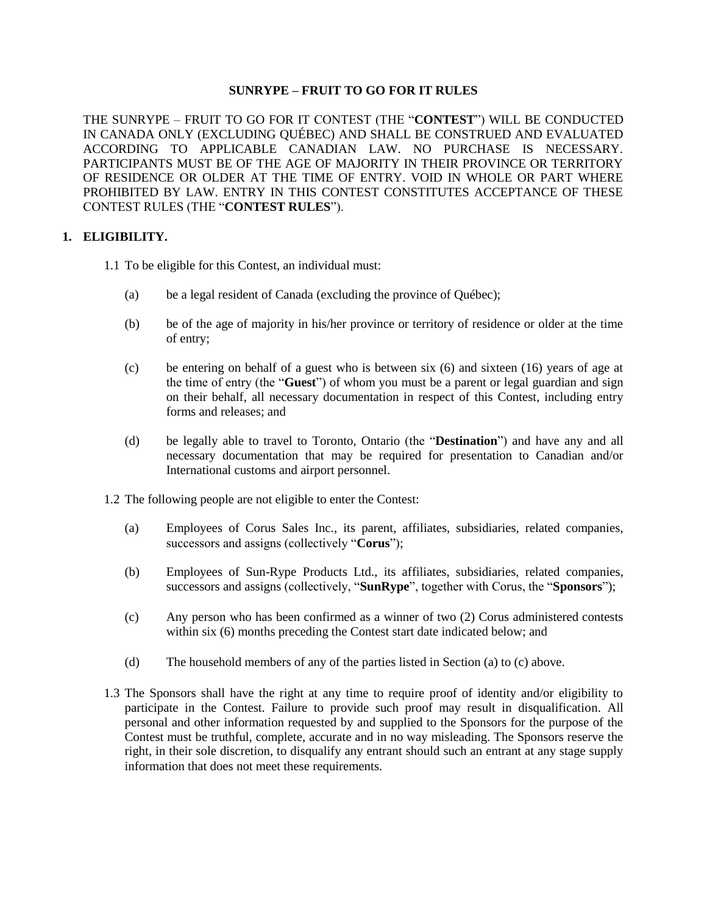### **SUNRYPE – FRUIT TO GO FOR IT RULES**

THE SUNRYPE – FRUIT TO GO FOR IT CONTEST (THE "**CONTEST**") WILL BE CONDUCTED IN CANADA ONLY (EXCLUDING QUÉBEC) AND SHALL BE CONSTRUED AND EVALUATED ACCORDING TO APPLICABLE CANADIAN LAW. NO PURCHASE IS NECESSARY. PARTICIPANTS MUST BE OF THE AGE OF MAJORITY IN THEIR PROVINCE OR TERRITORY OF RESIDENCE OR OLDER AT THE TIME OF ENTRY. VOID IN WHOLE OR PART WHERE PROHIBITED BY LAW. ENTRY IN THIS CONTEST CONSTITUTES ACCEPTANCE OF THESE CONTEST RULES (THE "**CONTEST RULES**").

#### **1. ELIGIBILITY.**

- 1.1 To be eligible for this Contest, an individual must:
	- (a) be a legal resident of Canada (excluding the province of Québec);
	- (b) be of the age of majority in his/her province or territory of residence or older at the time of entry;
	- (c) be entering on behalf of a guest who is between six (6) and sixteen (16) years of age at the time of entry (the "**Guest**") of whom you must be a parent or legal guardian and sign on their behalf, all necessary documentation in respect of this Contest, including entry forms and releases; and
	- (d) be legally able to travel to Toronto, Ontario (the "**Destination**") and have any and all necessary documentation that may be required for presentation to Canadian and/or International customs and airport personnel.
- 1.2 The following people are not eligible to enter the Contest:
	- (a) Employees of Corus Sales Inc., its parent, affiliates, subsidiaries, related companies, successors and assigns (collectively "**Corus**");
	- (b) Employees of Sun-Rype Products Ltd., its affiliates, subsidiaries, related companies, successors and assigns (collectively, "**SunRype**", together with Corus, the "**Sponsors**");
	- (c) Any person who has been confirmed as a winner of two (2) Corus administered contests within six (6) months preceding the Contest start date indicated below; and
	- (d) The household members of any of the parties listed in Section (a) to (c) above.
- 1.3 The Sponsors shall have the right at any time to require proof of identity and/or eligibility to participate in the Contest. Failure to provide such proof may result in disqualification. All personal and other information requested by and supplied to the Sponsors for the purpose of the Contest must be truthful, complete, accurate and in no way misleading. The Sponsors reserve the right, in their sole discretion, to disqualify any entrant should such an entrant at any stage supply information that does not meet these requirements.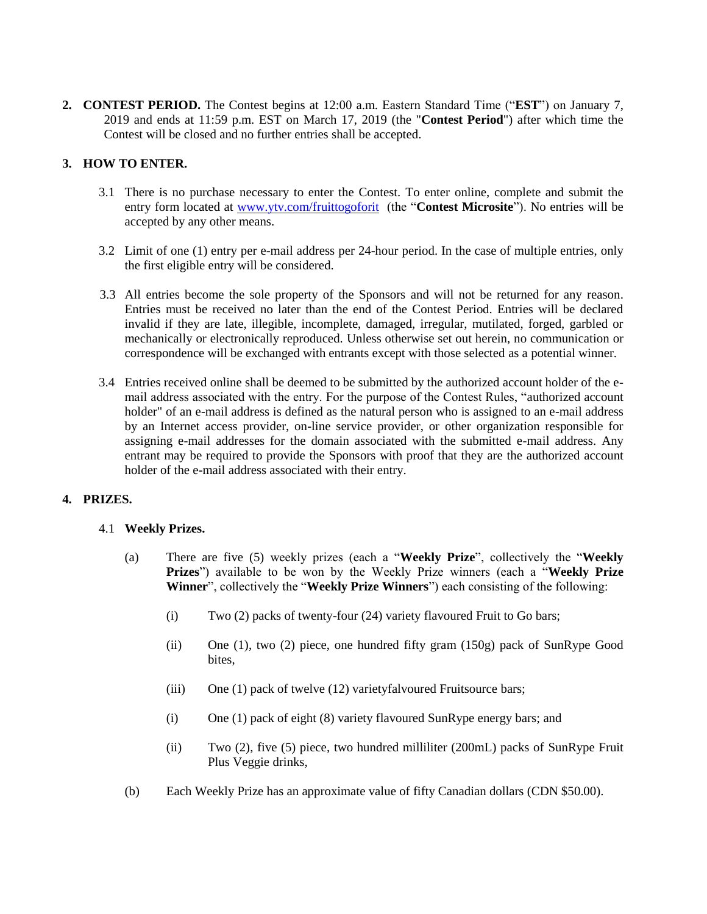**2. CONTEST PERIOD.** The Contest begins at 12:00 a.m. Eastern Standard Time ("**EST**") on January 7, 2019 and ends at 11:59 p.m. EST on March 17, 2019 (the "**Contest Period**") after which time the Contest will be closed and no further entries shall be accepted.

# **3. HOW TO ENTER.**

- 3.1 There is no purchase necessary to enter the Contest. To enter online, complete and submit the entry form located at [www.ytv.com/fruittogoforit](http://www.ytv.com/fruittogoforit) (the "**Contest Microsite**"). No entries will be accepted by any other means.
- 3.2 Limit of one (1) entry per e-mail address per 24-hour period. In the case of multiple entries, only the first eligible entry will be considered.
- 3.3 All entries become the sole property of the Sponsors and will not be returned for any reason. Entries must be received no later than the end of the Contest Period. Entries will be declared invalid if they are late, illegible, incomplete, damaged, irregular, mutilated, forged, garbled or mechanically or electronically reproduced. Unless otherwise set out herein, no communication or correspondence will be exchanged with entrants except with those selected as a potential winner.
- 3.4 Entries received online shall be deemed to be submitted by the authorized account holder of the email address associated with the entry. For the purpose of the Contest Rules, "authorized account holder" of an e-mail address is defined as the natural person who is assigned to an e-mail address by an Internet access provider, on-line service provider, or other organization responsible for assigning e-mail addresses for the domain associated with the submitted e-mail address. Any entrant may be required to provide the Sponsors with proof that they are the authorized account holder of the e-mail address associated with their entry.

#### **4. PRIZES.**

#### 4.1 **Weekly Prizes.**

- (a) There are five (5) weekly prizes (each a "**Weekly Prize**", collectively the "**Weekly Prizes**") available to be won by the Weekly Prize winners (each a "**Weekly Prize Winner**", collectively the "**Weekly Prize Winners**") each consisting of the following:
	- (i) Two (2) packs of twenty-four (24) variety flavoured Fruit to Go bars;
	- (ii) One (1), two (2) piece, one hundred fifty gram (150g) pack of SunRype Good bites,
	- (iii) One (1) pack of twelve (12) varietyfalvoured Fruitsource bars;
	- (i) One (1) pack of eight (8) variety flavoured SunRype energy bars; and
	- (ii) Two (2), five (5) piece, two hundred milliliter (200mL) packs of SunRype Fruit Plus Veggie drinks,
- (b) Each Weekly Prize has an approximate value of fifty Canadian dollars (CDN \$50.00).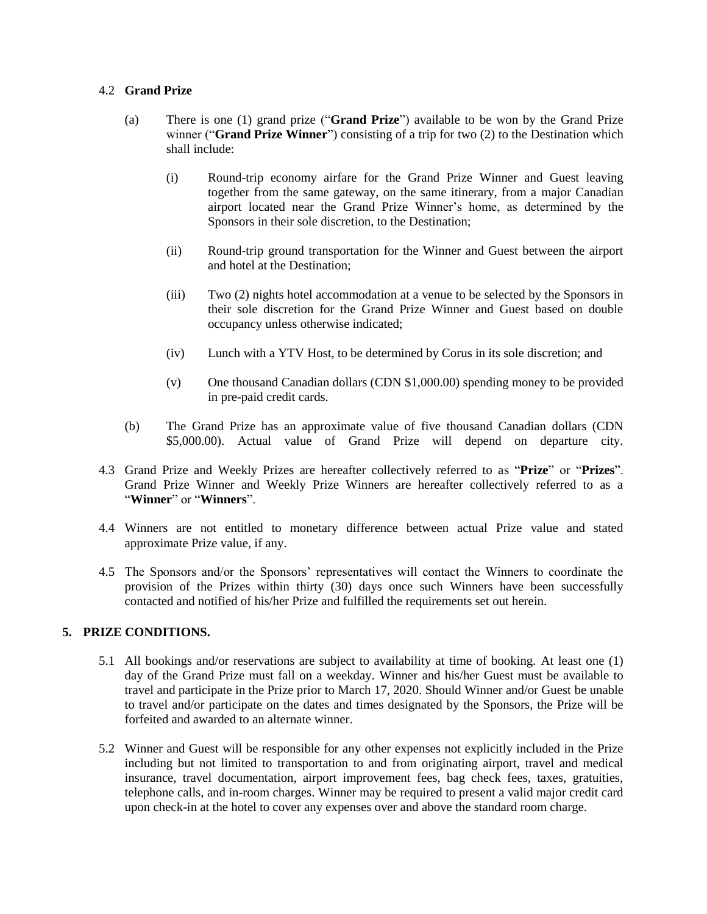#### 4.2 **Grand Prize**

- (a) There is one (1) grand prize ("**Grand Prize**") available to be won by the Grand Prize winner ("**Grand Prize Winner**") consisting of a trip for two (2) to the Destination which shall include:
	- (i) Round-trip economy airfare for the Grand Prize Winner and Guest leaving together from the same gateway, on the same itinerary, from a major Canadian airport located near the Grand Prize Winner's home, as determined by the Sponsors in their sole discretion, to the Destination;
	- (ii) Round-trip ground transportation for the Winner and Guest between the airport and hotel at the Destination;
	- (iii) Two (2) nights hotel accommodation at a venue to be selected by the Sponsors in their sole discretion for the Grand Prize Winner and Guest based on double occupancy unless otherwise indicated;
	- (iv) Lunch with a YTV Host, to be determined by Corus in its sole discretion; and
	- (v) One thousand Canadian dollars (CDN \$1,000.00) spending money to be provided in pre-paid credit cards.
- (b) The Grand Prize has an approximate value of five thousand Canadian dollars (CDN \$5,000.00). Actual value of Grand Prize will depend on departure city.
- 4.3 Grand Prize and Weekly Prizes are hereafter collectively referred to as "**Prize**" or "**Prizes**". Grand Prize Winner and Weekly Prize Winners are hereafter collectively referred to as a "**Winner**" or "**Winners**".
- 4.4 Winners are not entitled to monetary difference between actual Prize value and stated approximate Prize value, if any.
- 4.5 The Sponsors and/or the Sponsors' representatives will contact the Winners to coordinate the provision of the Prizes within thirty (30) days once such Winners have been successfully contacted and notified of his/her Prize and fulfilled the requirements set out herein.

#### **5. PRIZE CONDITIONS.**

- 5.1 All bookings and/or reservations are subject to availability at time of booking. At least one (1) day of the Grand Prize must fall on a weekday. Winner and his/her Guest must be available to travel and participate in the Prize prior to March 17, 2020. Should Winner and/or Guest be unable to travel and/or participate on the dates and times designated by the Sponsors, the Prize will be forfeited and awarded to an alternate winner.
- 5.2 Winner and Guest will be responsible for any other expenses not explicitly included in the Prize including but not limited to transportation to and from originating airport, travel and medical insurance, travel documentation, airport improvement fees, bag check fees, taxes, gratuities, telephone calls, and in-room charges. Winner may be required to present a valid major credit card upon check-in at the hotel to cover any expenses over and above the standard room charge.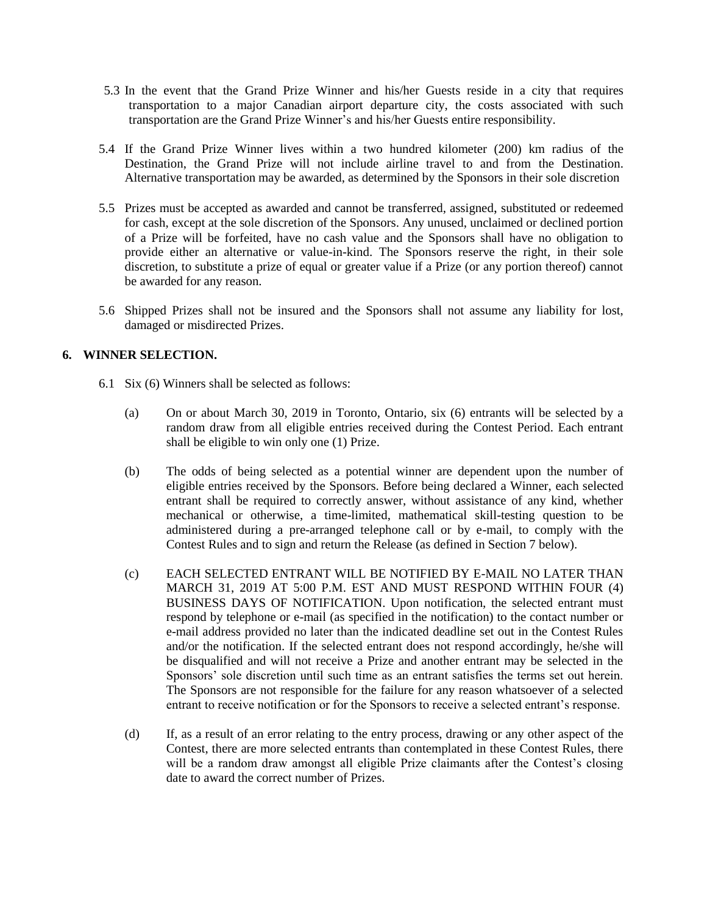- 5.3 In the event that the Grand Prize Winner and his/her Guests reside in a city that requires transportation to a major Canadian airport departure city, the costs associated with such transportation are the Grand Prize Winner's and his/her Guests entire responsibility.
- 5.4 If the Grand Prize Winner lives within a two hundred kilometer (200) km radius of the Destination, the Grand Prize will not include airline travel to and from the Destination. Alternative transportation may be awarded, as determined by the Sponsors in their sole discretion
- 5.5 Prizes must be accepted as awarded and cannot be transferred, assigned, substituted or redeemed for cash, except at the sole discretion of the Sponsors. Any unused, unclaimed or declined portion of a Prize will be forfeited, have no cash value and the Sponsors shall have no obligation to provide either an alternative or value-in-kind. The Sponsors reserve the right, in their sole discretion, to substitute a prize of equal or greater value if a Prize (or any portion thereof) cannot be awarded for any reason.
- 5.6 Shipped Prizes shall not be insured and the Sponsors shall not assume any liability for lost, damaged or misdirected Prizes.

# **6. WINNER SELECTION.**

- 6.1 Six (6) Winners shall be selected as follows:
	- (a) On or about March 30, 2019 in Toronto, Ontario, six (6) entrants will be selected by a random draw from all eligible entries received during the Contest Period. Each entrant shall be eligible to win only one (1) Prize.
	- (b) The odds of being selected as a potential winner are dependent upon the number of eligible entries received by the Sponsors. Before being declared a Winner, each selected entrant shall be required to correctly answer, without assistance of any kind, whether mechanical or otherwise, a time-limited, mathematical skill-testing question to be administered during a pre-arranged telephone call or by e-mail, to comply with the Contest Rules and to sign and return the Release (as defined in Section 7 below).
	- (c) EACH SELECTED ENTRANT WILL BE NOTIFIED BY E-MAIL NO LATER THAN MARCH 31, 2019 AT 5:00 P.M. EST AND MUST RESPOND WITHIN FOUR (4) BUSINESS DAYS OF NOTIFICATION. Upon notification, the selected entrant must respond by telephone or e-mail (as specified in the notification) to the contact number or e-mail address provided no later than the indicated deadline set out in the Contest Rules and/or the notification. If the selected entrant does not respond accordingly, he/she will be disqualified and will not receive a Prize and another entrant may be selected in the Sponsors' sole discretion until such time as an entrant satisfies the terms set out herein. The Sponsors are not responsible for the failure for any reason whatsoever of a selected entrant to receive notification or for the Sponsors to receive a selected entrant's response.
	- (d) If, as a result of an error relating to the entry process, drawing or any other aspect of the Contest, there are more selected entrants than contemplated in these Contest Rules, there will be a random draw amongst all eligible Prize claimants after the Contest's closing date to award the correct number of Prizes.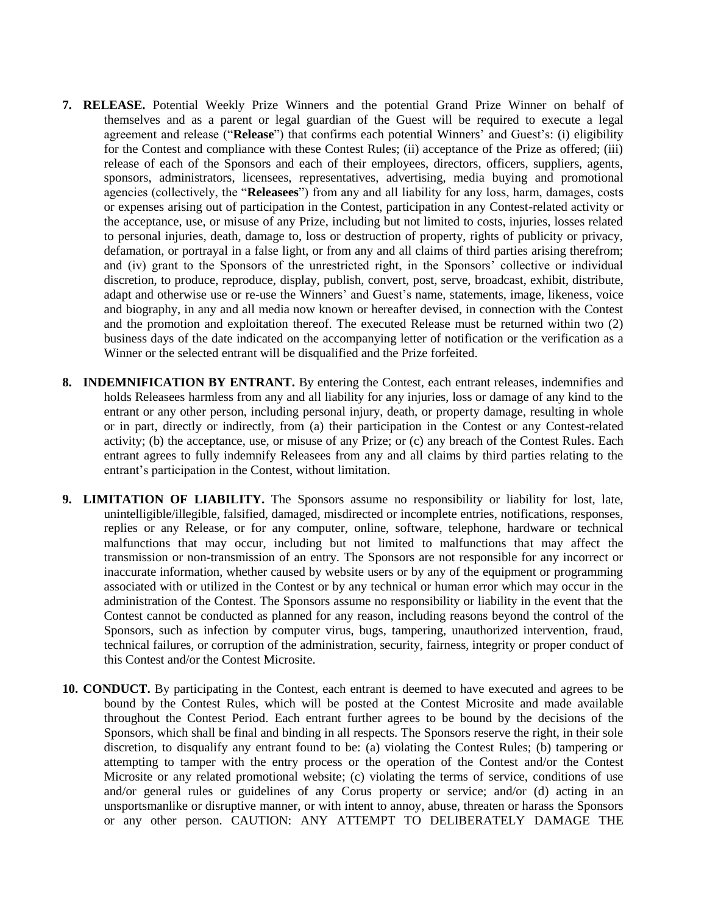- **7. RELEASE.** Potential Weekly Prize Winners and the potential Grand Prize Winner on behalf of themselves and as a parent or legal guardian of the Guest will be required to execute a legal agreement and release ("**Release**") that confirms each potential Winners' and Guest's: (i) eligibility for the Contest and compliance with these Contest Rules; (ii) acceptance of the Prize as offered; (iii) release of each of the Sponsors and each of their employees, directors, officers, suppliers, agents, sponsors, administrators, licensees, representatives, advertising, media buying and promotional agencies (collectively, the "**Releasees**") from any and all liability for any loss, harm, damages, costs or expenses arising out of participation in the Contest, participation in any Contest-related activity or the acceptance, use, or misuse of any Prize, including but not limited to costs, injuries, losses related to personal injuries, death, damage to, loss or destruction of property, rights of publicity or privacy, defamation, or portrayal in a false light, or from any and all claims of third parties arising therefrom; and (iv) grant to the Sponsors of the unrestricted right, in the Sponsors' collective or individual discretion, to produce, reproduce, display, publish, convert, post, serve, broadcast, exhibit, distribute, adapt and otherwise use or re-use the Winners' and Guest's name, statements, image, likeness, voice and biography, in any and all media now known or hereafter devised, in connection with the Contest and the promotion and exploitation thereof. The executed Release must be returned within two (2) business days of the date indicated on the accompanying letter of notification or the verification as a Winner or the selected entrant will be disqualified and the Prize forfeited.
- **8. INDEMNIFICATION BY ENTRANT.** By entering the Contest, each entrant releases, indemnifies and holds Releasees harmless from any and all liability for any injuries, loss or damage of any kind to the entrant or any other person, including personal injury, death, or property damage, resulting in whole or in part, directly or indirectly, from (a) their participation in the Contest or any Contest-related activity; (b) the acceptance, use, or misuse of any Prize; or (c) any breach of the Contest Rules. Each entrant agrees to fully indemnify Releasees from any and all claims by third parties relating to the entrant's participation in the Contest, without limitation.
- **9. LIMITATION OF LIABILITY.** The Sponsors assume no responsibility or liability for lost, late, unintelligible/illegible, falsified, damaged, misdirected or incomplete entries, notifications, responses, replies or any Release, or for any computer, online, software, telephone, hardware or technical malfunctions that may occur, including but not limited to malfunctions that may affect the transmission or non-transmission of an entry. The Sponsors are not responsible for any incorrect or inaccurate information, whether caused by website users or by any of the equipment or programming associated with or utilized in the Contest or by any technical or human error which may occur in the administration of the Contest. The Sponsors assume no responsibility or liability in the event that the Contest cannot be conducted as planned for any reason, including reasons beyond the control of the Sponsors, such as infection by computer virus, bugs, tampering, unauthorized intervention, fraud, technical failures, or corruption of the administration, security, fairness, integrity or proper conduct of this Contest and/or the Contest Microsite.
- **10. CONDUCT.** By participating in the Contest, each entrant is deemed to have executed and agrees to be bound by the Contest Rules, which will be posted at the Contest Microsite and made available throughout the Contest Period. Each entrant further agrees to be bound by the decisions of the Sponsors, which shall be final and binding in all respects. The Sponsors reserve the right, in their sole discretion, to disqualify any entrant found to be: (a) violating the Contest Rules; (b) tampering or attempting to tamper with the entry process or the operation of the Contest and/or the Contest Microsite or any related promotional website; (c) violating the terms of service, conditions of use and/or general rules or guidelines of any Corus property or service; and/or (d) acting in an unsportsmanlike or disruptive manner, or with intent to annoy, abuse, threaten or harass the Sponsors or any other person. CAUTION: ANY ATTEMPT TO DELIBERATELY DAMAGE THE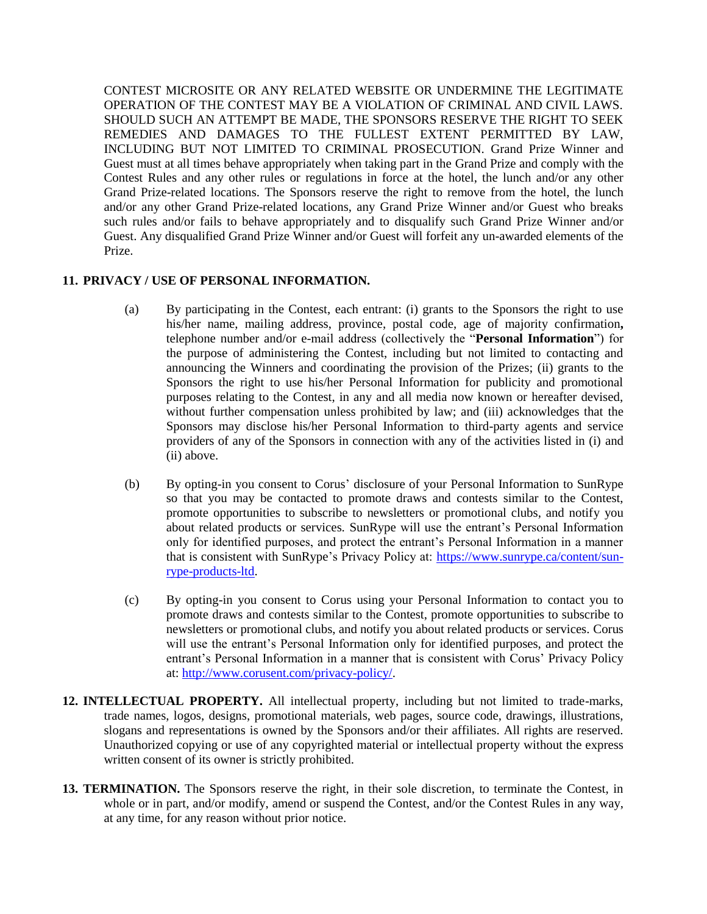CONTEST MICROSITE OR ANY RELATED WEBSITE OR UNDERMINE THE LEGITIMATE OPERATION OF THE CONTEST MAY BE A VIOLATION OF CRIMINAL AND CIVIL LAWS. SHOULD SUCH AN ATTEMPT BE MADE, THE SPONSORS RESERVE THE RIGHT TO SEEK REMEDIES AND DAMAGES TO THE FULLEST EXTENT PERMITTED BY LAW, INCLUDING BUT NOT LIMITED TO CRIMINAL PROSECUTION. Grand Prize Winner and Guest must at all times behave appropriately when taking part in the Grand Prize and comply with the Contest Rules and any other rules or regulations in force at the hotel, the lunch and/or any other Grand Prize-related locations. The Sponsors reserve the right to remove from the hotel, the lunch and/or any other Grand Prize-related locations, any Grand Prize Winner and/or Guest who breaks such rules and/or fails to behave appropriately and to disqualify such Grand Prize Winner and/or Guest. Any disqualified Grand Prize Winner and/or Guest will forfeit any un-awarded elements of the Prize.

#### **11. PRIVACY / USE OF PERSONAL INFORMATION.**

- (a) By participating in the Contest, each entrant: (i) grants to the Sponsors the right to use his/her name, mailing address, province, postal code, age of majority confirmation**,** telephone number and/or e-mail address (collectively the "**Personal Information**") for the purpose of administering the Contest, including but not limited to contacting and announcing the Winners and coordinating the provision of the Prizes; (ii) grants to the Sponsors the right to use his/her Personal Information for publicity and promotional purposes relating to the Contest, in any and all media now known or hereafter devised, without further compensation unless prohibited by law; and (iii) acknowledges that the Sponsors may disclose his/her Personal Information to third-party agents and service providers of any of the Sponsors in connection with any of the activities listed in (i) and (ii) above.
- (b) By opting-in you consent to Corus' disclosure of your Personal Information to SunRype so that you may be contacted to promote draws and contests similar to the Contest, promote opportunities to subscribe to newsletters or promotional clubs, and notify you about related products or services. SunRype will use the entrant's Personal Information only for identified purposes, and protect the entrant's Personal Information in a manner that is consistent with SunRype's Privacy Policy at: [https://www.sunrype.ca/content/sun](https://www.sunrype.ca/content/sun-rype-products-ltd)[rype-products-ltd.](https://www.sunrype.ca/content/sun-rype-products-ltd)
- (c) By opting-in you consent to Corus using your Personal Information to contact you to promote draws and contests similar to the Contest, promote opportunities to subscribe to newsletters or promotional clubs, and notify you about related products or services. Corus will use the entrant's Personal Information only for identified purposes, and protect the entrant's Personal Information in a manner that is consistent with Corus' Privacy Policy at[: http://www.corusent.com/privacy-policy/.](http://www.corusent.com/privacy-policy/)
- **12. INTELLECTUAL PROPERTY.** All intellectual property, including but not limited to trade-marks, trade names, logos, designs, promotional materials, web pages, source code, drawings, illustrations, slogans and representations is owned by the Sponsors and/or their affiliates. All rights are reserved. Unauthorized copying or use of any copyrighted material or intellectual property without the express written consent of its owner is strictly prohibited.
- **13. TERMINATION.** The Sponsors reserve the right, in their sole discretion, to terminate the Contest, in whole or in part, and/or modify, amend or suspend the Contest, and/or the Contest Rules in any way, at any time, for any reason without prior notice.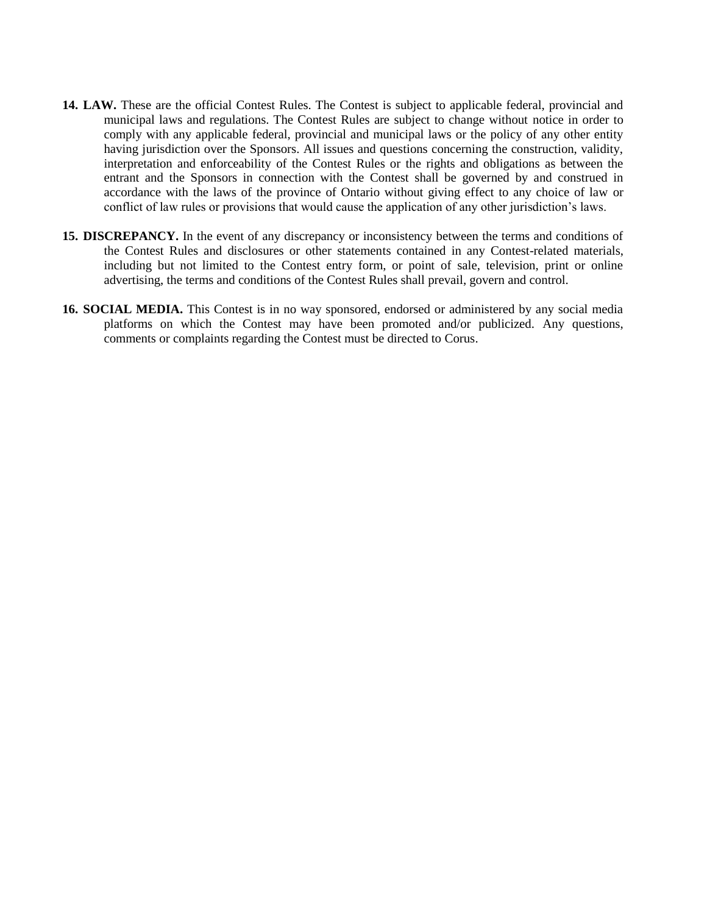- **14. LAW.** These are the official Contest Rules. The Contest is subject to applicable federal, provincial and municipal laws and regulations. The Contest Rules are subject to change without notice in order to comply with any applicable federal, provincial and municipal laws or the policy of any other entity having jurisdiction over the Sponsors. All issues and questions concerning the construction, validity, interpretation and enforceability of the Contest Rules or the rights and obligations as between the entrant and the Sponsors in connection with the Contest shall be governed by and construed in accordance with the laws of the province of Ontario without giving effect to any choice of law or conflict of law rules or provisions that would cause the application of any other jurisdiction's laws.
- **15. DISCREPANCY.** In the event of any discrepancy or inconsistency between the terms and conditions of the Contest Rules and disclosures or other statements contained in any Contest-related materials, including but not limited to the Contest entry form, or point of sale, television, print or online advertising, the terms and conditions of the Contest Rules shall prevail, govern and control.
- **16. SOCIAL MEDIA.** This Contest is in no way sponsored, endorsed or administered by any social media platforms on which the Contest may have been promoted and/or publicized. Any questions, comments or complaints regarding the Contest must be directed to Corus.